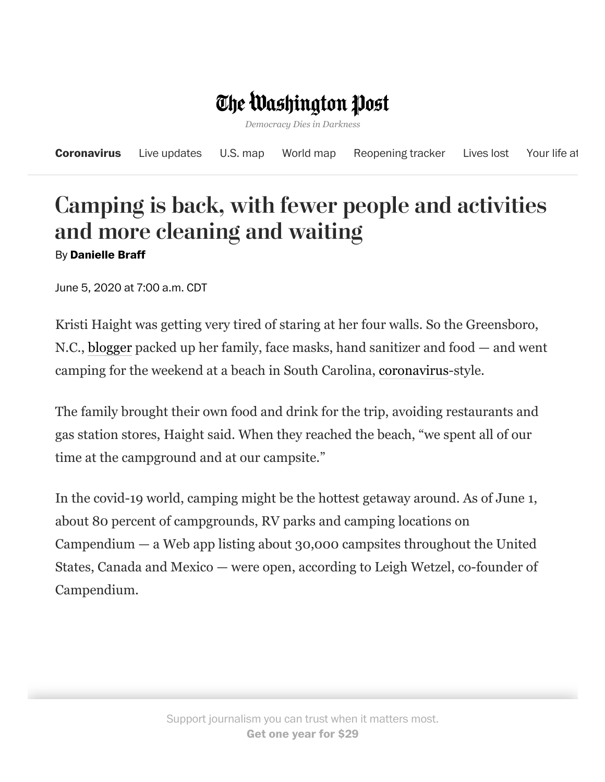## The Washington Post

*Democracy Dies in Darkness*

|  |  | <b>Coronavirus</b> Live updates U.S. map World map Reopening tracker Lives lost Your life at |  |
|--|--|----------------------------------------------------------------------------------------------|--|
|  |  |                                                                                              |  |

## Camping is back, with fewer people and activities and more cleaning and waiting By **Danielle Braff**

June 5, 2020 at 7:00 a.m. CDT

Kristi Haight was getting very tired of staring at her four walls. So the Greensboro, N.C., [blogger](https://www.chatfieldcourt.com/) packed up her family, face masks, hand sanitizer and food — and went camping for the weekend at a beach in South Carolina, [coronavirus](https://www.washingtonpost.com/health/2020/02/28/what-you-need-know-about-coronavirus/?itid=lk_inline_manual_2)-style.

The family brought their own food and drink for the trip, avoiding restaurants and gas station stores, Haight said. When they reached the beach, "we spent all of our time at the campground and at our campsite."

In the covid-19 world, camping might be the hottest getaway around. As of June 1, about 80 percent of campgrounds, RV parks and camping locations on Campendium — a Web app listing about 30,000 campsites throughout the United States, Canada and Mexico — were open, according to Leigh Wetzel, co-founder of Campendium.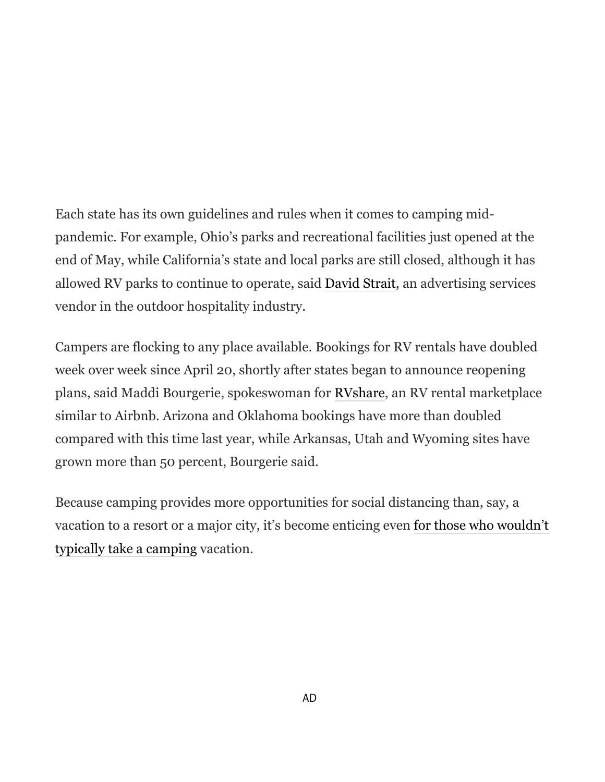Each state has its own guidelines and rules when it comes to camping midpandemic. For example, Ohio's parks and recreational facilities just opened at the end of May, while California's state and local parks are still closed, although it has allowed RV parks to continue to operate, said [David Strait,](http://straitanswers.com/about/about-c-david-strait/) an advertising services vendor in the outdoor hospitality industry.

Campers are flocking to any place available. Bookings for RV rentals have doubled week over week since April 20, shortly after states began to announce reopening plans, said Maddi Bourgerie, spokeswoman for [RVshare,](https://rvshare.com/) an RV rental marketplace similar to Airbnb. Arizona and Oklahoma bookings have more than doubled compared with this time last year, while Arkansas, Utah and Wyoming sites have grown more than 50 percent, Bourgerie said.

Because camping provides more opportunities for social distancing than, say, a [vacation to a resort or a major city, it's become enticing even for those who wouldn't](https://www.washingtonpost.com/travel/tips/an-experts-essential-tips-first-time-campers/?itid=lk_inline_manual_10) typically take a camping vacation.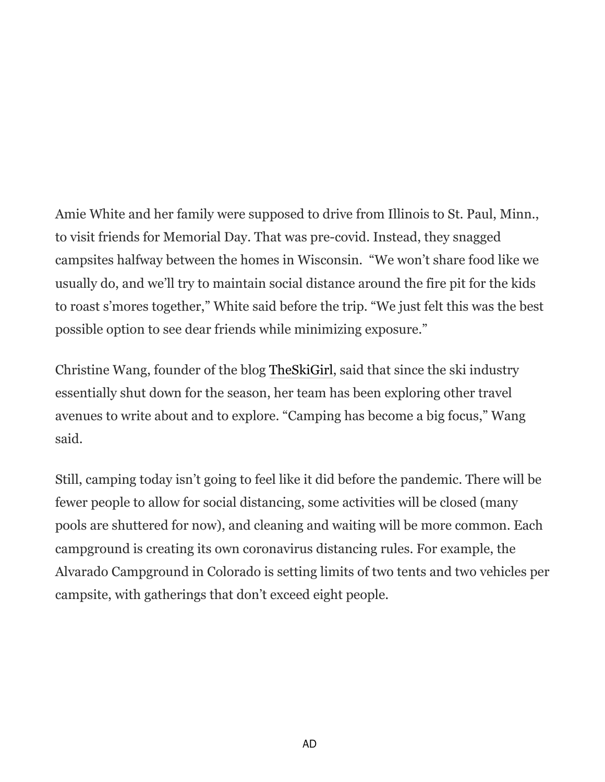Amie White and her family were supposed to drive from Illinois to St. Paul, Minn., to visit friends for Memorial Day. That was pre-covid. Instead, they snagged campsites halfway between the homes in Wisconsin. "We won't share food like we usually do, and we'll try to maintain social distance around the fire pit for the kids to roast s'mores together," White said before the trip. "We just felt this was the best possible option to see dear friends while minimizing exposure."

Christine Wang, founder of the blog [TheSkiGirl](https://theskigirl.com/), said that since the ski industry essentially shut down for the season, her team has been exploring other travel avenues to write about and to explore. "Camping has become a big focus," Wang said.

Still, camping today isn't going to feel like it did before the pandemic. There will be fewer people to allow for social distancing, some activities will be closed (many pools are shuttered for now), and cleaning and waiting will be more common. Each campground is creating its own coronavirus distancing rules. For example, the Alvarado Campground in Colorado is setting limits of two tents and two vehicles per campsite, with gatherings that don't exceed eight people.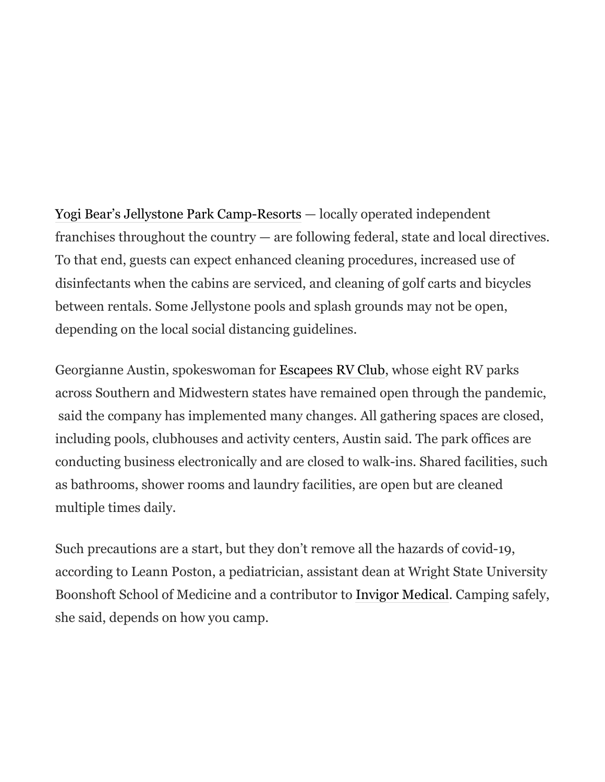[Yogi Bear's Jellystone Park Camp-Resorts](https://www.campjellystone.com/) — locally operated independent franchises throughout the country — are following federal, state and local directives. To that end, guests can expect enhanced cleaning procedures, increased use of disinfectants when the cabins are serviced, and cleaning of golf carts and bicycles between rentals. Some Jellystone pools and splash grounds may not be open, depending on the local social distancing guidelines.

Georgianne Austin, spokeswoman for [Escapees RV Club,](https://www.escapees.com/) whose eight RV parks across Southern and Midwestern states have remained open through the pandemic, said the company has implemented many changes. All gathering spaces are closed, including pools, clubhouses and activity centers, Austin said. The park offices are conducting business electronically and are closed to walk-ins. Shared facilities, such as bathrooms, shower rooms and laundry facilities, are open but are cleaned multiple times daily.

Such precautions are a start, but they don't remove all the hazards of covid-19, according to Leann Poston, a pediatrician, assistant dean at Wright State University Boonshoft School of Medicine and a contributor to [Invigor Medical](https://invigormedical.com/). Camping safely, she said, depends on how you camp.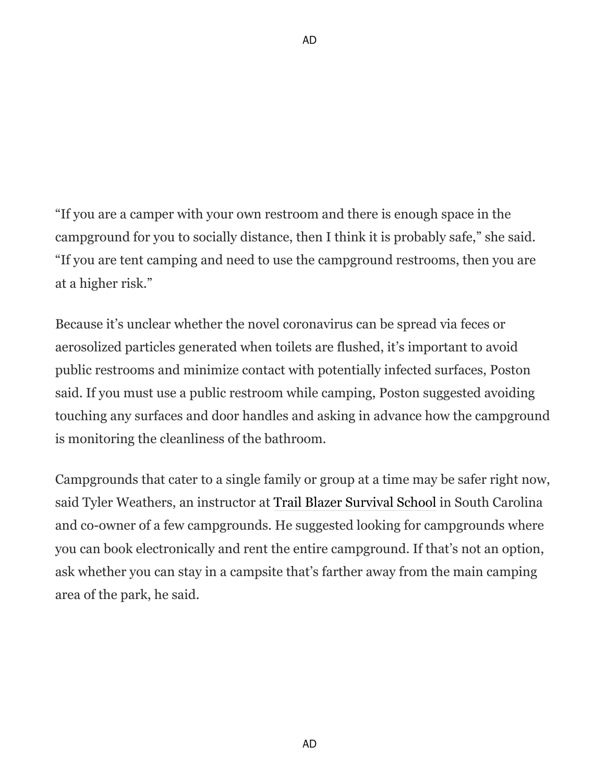"If you are a camper with your own restroom and there is enough space in the campground for you to socially distance, then I think it is probably safe," she said. "If you are tent camping and need to use the campground restrooms, then you are at a higher risk."

Because it's unclear whether the novel coronavirus can be spread via feces or aerosolized particles generated when toilets are flushed, it's important to avoid public restrooms and minimize contact with potentially infected surfaces, Poston said. If you must use a public restroom while camping, Poston suggested avoiding touching any surfaces and door handles and asking in advance how the campground is monitoring the cleanliness of the bathroom.

Campgrounds that cater to a single family or group at a time may be safer right now, said Tyler Weathers, an instructor at [Trail Blazer Survival School](https://www.trailblazersurvival.com/) in South Carolina and co-owner of a few campgrounds. He suggested looking for campgrounds where you can book electronically and rent the entire campground. If that's not an option, ask whether you can stay in a campsite that's farther away from the main camping area of the park, he said.

AD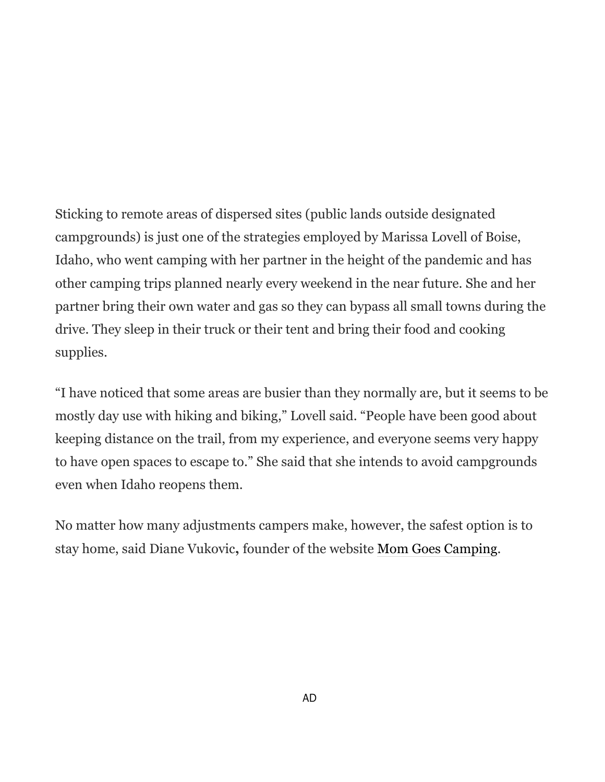Sticking to remote areas of dispersed sites (public lands outside designated campgrounds) is just one of the strategies employed by Marissa Lovell of Boise, Idaho, who went camping with her partner in the height of the pandemic and has other camping trips planned nearly every weekend in the near future. She and her partner bring their own water and gas so they can bypass all small towns during the drive. They sleep in their truck or their tent and bring their food and cooking supplies.

"I have noticed that some areas are busier than they normally are, but it seems to be mostly day use with hiking and biking," Lovell said. "People have been good about keeping distance on the trail, from my experience, and everyone seems very happy to have open spaces to escape to." She said that she intends to avoid campgrounds even when Idaho reopens them.

No matter how many adjustments campers make, however, the safest option is to stay home, said Diane Vukovic**,** founder of the website [Mom Goes Camping](https://momgoescamping.com/).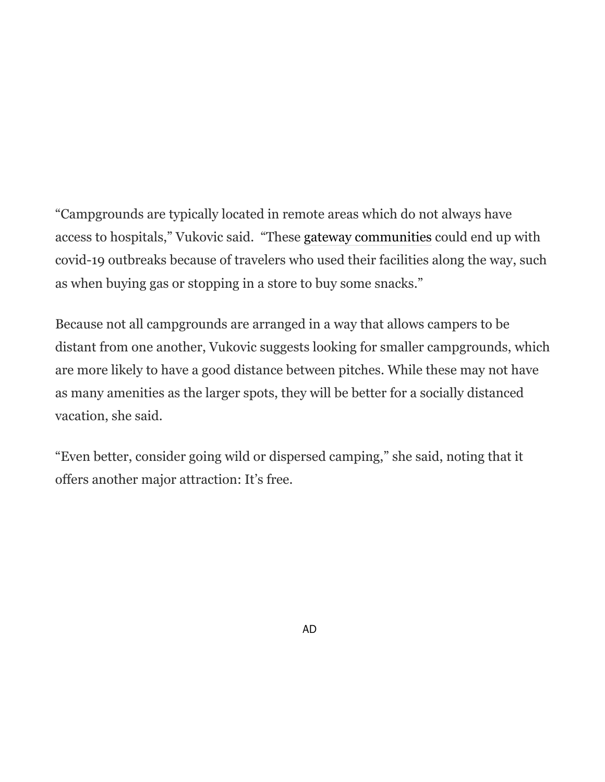"Campgrounds are typically located in remote areas which do not always have access to hospitals," Vukovic said. "These [gateway communities](https://www.washingtonpost.com/lifestyle/travel/hiking-coronavirus-national-parks-communities/2020/03/24/7cd516d4-6d32-11ea-aa80-c2470c6b2034_story.html?itid=lk_inline_manual_34) could end up with covid-19 outbreaks because of travelers who used their facilities along the way, such as when buying gas or stopping in a store to buy some snacks."

Because not all campgrounds are arranged in a way that allows campers to be distant from one another, Vukovic suggests looking for smaller campgrounds, which are more likely to have a good distance between pitches. While these may not have as many amenities as the larger spots, they will be better for a socially distanced vacation, she said.

"Even better, consider going wild or dispersed camping," she said, noting that it offers another major attraction: It's free.

AD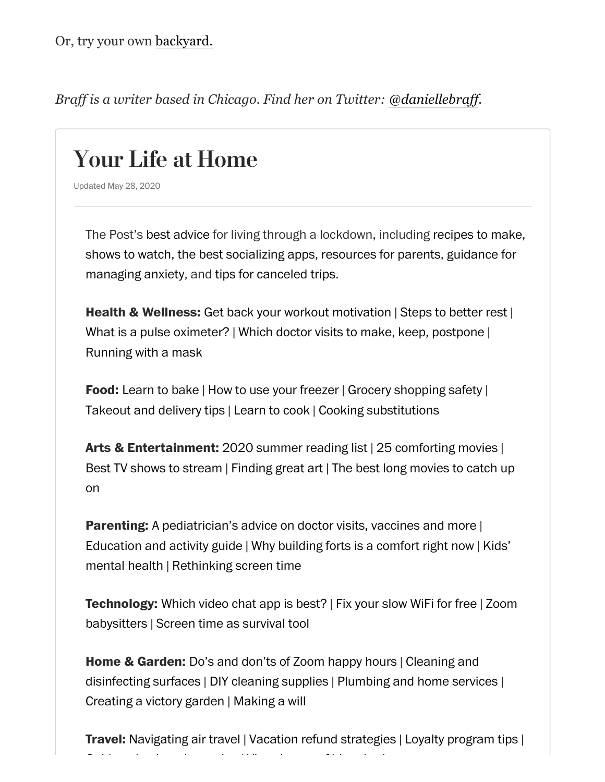*Braff is a writer based in Chicago. Find her on Twitter: [@daniellebraff](https://twitter.com/daniellebraff?lang=en).*

## Your Life at Home

Updated May 28, 2020

The Post's best [advice](https://www.washingtonpost.com/coronavirus/living/?itid=lb_your-life-at-home_1) for living through a lockdown, including [recipes](https://www.washingtonpost.com/news/voraciously/?itid=lb_your-life-at-home_2) to make, [shows](https://www.washingtonpost.com/entertainment/?itid=lb_your-life-at-home_3) to watch, the best [socializing](https://www.washingtonpost.com/internet-culture/?itid=lb_your-life-at-home_4) apps, [resources](https://www.washingtonpost.com/lifestyle/on-parenting/?itid=lb_your-life-at-home_5) for parents, guidance for managing anxiety, and tips for [canceled](https://www.washingtonpost.com/coronavirus/travel/?itid=lb_your-life-at-home_7) trips.

**Health & Wellness:** Get back your workout [motivation](https://www.washingtonpost.com/lifestyle/wellness/losing-your-motivation-to-exercise-as-the-pandemic-drags-on-heres-how-to-get-it-back/2020/05/11/72e41a3c-93af-11ea-91d7-cf4423d47683_story.html?itid=lb_your-life-at-home_8) | Steps to [better](https://www.washingtonpost.com/lifestyle/wellness/pandemic-quarantine-sleep-tired-exhausted/2020/05/12/5e1bccde-9482-11ea-82b4-c8db161ff6e5_story.html?itid=lb_your-life-at-home_9) rest | What is a pulse [oximeter?](https://www.washingtonpost.com/lifestyle/wellness/pulse-oximeter-covid-19-coronavirus/2020/05/18/5b6f8a98-96df-11ea-9f5e-56d8239bf9ad_story.html?itid=lb_your-life-at-home_10) | Which doctor visits to make, keep, [postpone](https://www.washingtonpost.com/lifestyle/wellness/doctors-appointment-coronavirus-telemedicine/2020/05/04/f7005afe-8e20-11ea-a9c0-73b93422d691_story.html?itid=lb_your-life-at-home_11) | [Running](https://www.washingtonpost.com/lifestyle/2020/05/10/running-wear-mask-outdoor-exercise/?itid=lb_your-life-at-home_12) with a mask

**Food:** [Learn](https://www.washingtonpost.com/news/voraciously/wp/2020/03/25/want-to-learn-how-to-bake-these-sweet-recipes-and-guides-will-help-you-do-it/?itid=lb_your-life-at-home_13) to bake | How to use your [freezer](https://www.washingtonpost.com/graphics/2020/voraciously/how-to-use-your-freezer/?itid=lb_your-life-at-home_14) | Grocery [shopping](https://www.washingtonpost.com/news/voraciously/wp/2020/03/19/grocery-shopping-during-the-coronavirus-wash-your-hands-keep-your-distance-and-limit-trips/?itid=lb_your-life-at-home_15) safety | [Takeout](https://www.washingtonpost.com/news/voraciously/wp/2020/04/03/what-to-know-about-the-risks-of-restaurant-takeout-and-delivery-and-how-to-minimize-them/?itid=lb_your-life-at-home_16) and delivery tips | [Learn](https://www.washingtonpost.com/news/voraciously/wp/2020/03/18/if-you-suddenly-need-to-learn-to-cook-these-resources-will-help-guide-you/?itid=lb_your-life-at-home_17) to cook | Cooking [substitutions](https://www.washingtonpost.com/news/voraciously/wp/2020/04/06/how-to-make-substitutions-for-spices-herbs-dairy-and-meat-in-your-everyday-cooking/?itid=lb_your-life-at-home_18)

**Arts & Entertainment:** 2020 [summer](https://www.washingtonpost.com/graphics/2020/entertainment/books/summer-books/?itid=lb_your-life-at-home_19) reading list | 25 [comforting](https://www.washingtonpost.com/arts-entertainment/2020/05/14/comfort-movies-streaming-quarantine/?itid=lb_your-life-at-home_20) movies | Best TV shows to [stream](https://washingtonpost.com/entertainment/tv/best-shows-streaming-tv/2020/03/17/779c9ce6-67bf-11ea-b313-df458622c2cc_story.html?itid=lb_your-life-at-home_21) | [Finding](https://www.washingtonpost.com/entertainment/museums/so-youre-stuck-at-home-heres-a-guide-to-finding-great-art-while-in-isolation/2020/03/18/ccacd222-67c0-11ea-9923-57073adce27c_story.html?itid=lb_your-life-at-home_22) great art | The best long movies to catch up on

**Parenting:** [A pediatrician's](https://www.washingtonpost.com/lifestyle/2020/05/12/kids-doctor-visits-vaccines-coronavirus/?itid=lb_your-life-at-home_24) advice on doctor visits, vaccines and more | [Education](https://www.washingtonpost.com/lifestyle/2020/04/28/parents-guide-education-resources-coronavirus/?itid=lb_your-life-at-home_25) and activity guide | Why [building](https://www.washingtonpost.com/lifestyle/2020/05/18/why-kids-love-building-forts-why-experts-say-they-might-need-them-more-than-ever/?itid=lb_your-life-at-home_26) forts is a comfort right now | Kids' mental health | [Rethinking](https://www.washingtonpost.com/lifestyle/2020/04/16/how-parents-can-protect-kids-mental-health-during-pandemic/?itid=lb_your-life-at-home_27) screen time

**[Technology:](https://www.washingtonpost.com/technology/2020/04/30/zoom-virtual-babysitters-pandemic/?itid=lb_your-life-at-home_31)** [Which](https://www.washingtonpost.com/technology/2020/05/20/best-video-chat-apps/?itid=lb_your-life-at-home_29) video chat app is best? | Fix your [slow](https://www.washingtonpost.com/technology/2020/04/29/best-wifi-fix/?itid=lb_your-life-at-home_30) WiFi for free | Zoom babysitters | Screen time as [survival](https://www.washingtonpost.com/technology/2020/04/09/screen-time-rethink-coronavirus/?itid=lb_your-life-at-home_32) tool

**Home & Garden:** Do's and [don'ts](https://www.washingtonpost.com/lifestyle/home/the-six-dos-and-donts-of-zoom-happy-hours/2020/05/14/e173af4e-93a0-11ea-82b4-c8db161ff6e5_story.html?itid=lb_your-life-at-home_33) of Zoom happy hours | Cleaning and [disinfecting](https://www.washingtonpost.com/lifestyle/home/clean-disinfect-surfaces-coronavirus/2020/03/26/d2c764f0-6f69-11ea-b148-e4ce3fbd85b5_story.html?itid=lb_your-life-at-home_34) surfaces | DIY [cleaning](https://www.washingtonpost.com/lifestyle/home/diy-household-cleaners-that-work-if-youre-short-on-supplies/2020/04/15/aedf5b36-7d9e-11ea-9040-68981f488eed_story.html?itid=lb_your-life-at-home_35) supplies | [Plumbing](https://www.washingtonpost.com/lifestyle/home/how-homeowners-should-handle-plumbing-housecleaning-and-other-services-during-a-pandemic/2020/03/27/a68373d0-6ccf-11ea-aa80-c2470c6b2034_story.html?itid=lb_your-life-at-home_36) and home services | [Creating](https://www.washingtonpost.com/lifestyle/home/how-to-grow-your-own-food-in-a-modern-day-victory-garden/2020/04/05/6a0fa7f0-737f-11ea-a9bd-9f8b593300d0_story.html?itid=lb_your-life-at-home_37) a victory garden | [Making](https://www.washingtonpost.com/lifestyle/home/face-it-this-is-a-good-time-to-make-a-will/2020/05/04/10d98136-8975-11ea-ac8a-fe9b8088e101_story.html?itid=lb_your-life-at-home_38) a will

**Travel:** [Navigating](https://www.washingtonpost.com/lifestyle/travel/navigating-pandemic-era-air-travel-heres-what-its-like-to-fly-internationally-right-now/2020/05/19/1283a586-949f-11ea-82b4-c8db161ff6e5_story.html?itid=lb_your-life-at-home_39) air travel | Vacation refund [strategies](https://www.washingtonpost.com/lifestyle/travel/try-these-expert-negotiation-strategies-for-refunding-or-rescheduling-your-vacation/2020/04/15/cecd2d8a-7da6-11ea-9040-68981f488eed_story.html?itid=lb_your-life-at-home_40) | Loyalty [program](https://www.washingtonpost.com/lifestyle/travel/what-happens-to-your-loyalty-program-after-the-pandemic/2020/05/20/2df4acfe-991b-11ea-ac72-3841fcc9b35f_story.html?itid=lb_your-life-at-home_41) tips |

G [id](https://www.washingtonpost.com/lifestyle/travel/a-guide-to-backyard-camping-turns-out-you-dont-have-to-go-very-far-to-get-away-from-it-all/2020/05/21/9e035822-958a-11ea-91d7-cf4423d47683_story.html?itid=lb_your-life-at-home_42) b k d i | Vi l f [hi](https://www.washingtonpost.com/travel/2020/03/18/these-historic-sites-attractions-are-offering-virtual-tours-during-coronavirus-pandemic/?itid=lb_your-life-at-home_43) i i